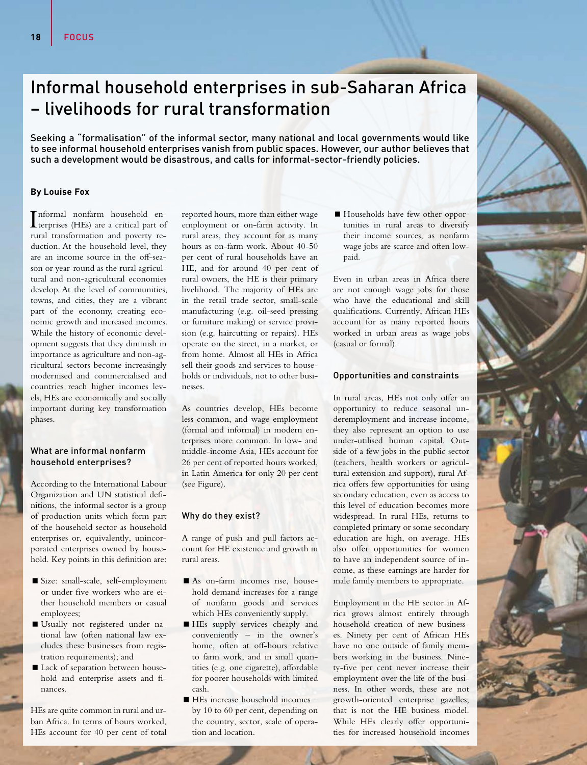# Informal household enterprises in sub-Saharan Africa – livelihoods for rural transformation

Seeking a "formalisation" of the informal sector, many national and local governments would like to see informal household enterprises vanish from public spaces. However, our author believes that such a development would be disastrous, and calls for informal-sector-friendly policies.

## **By Louise Fox**

I terprises (HEs) are a critical part of nformal nonfarm household enrural transformation and poverty reduction. At the household level, they are an income source in the off-season or year-round as the rural agricultural and non-agricultural economies develop. At the level of communities, towns, and cities, they are a vibrant part of the economy, creating economic growth and increased incomes. While the history of economic development suggests that they diminish in importance as agriculture and non-agricultural sectors become increasingly modernised and commercialised and countries reach higher incomes levels, HEs are economically and socially important during key transformation phases.

#### What are informal nonfarm household enterprises?

According to the International Labour Organization and UN statistical definitions, the informal sector is a group of production units which form part of the household sector as household enterprises or, equivalently, unincorporated enterprises owned by household. Key points in this definition are:

- Size: small-scale, self-employment or under five workers who are either household members or casual employees;
- Usually not registered under national law (often national law excludes these businesses from registration requirements); and
- Lack of separation between household and enterprise assets and finances.

HEs are quite common in rural and urban Africa. In terms of hours worked, HEs account for 40 per cent of total

reported hours, more than either wage employment or on-farm activity. In rural areas, they account for as many hours as on-farm work. About 40-50 per cent of rural households have an HE, and for around 40 per cent of rural owners, the HE is their primary livelihood. The majority of HEs are in the retail trade sector, small-scale manufacturing (e.g. oil-seed pressing or furniture making) or service provision (e.g. haircutting or repairs). HEs operate on the street, in a market, or from home. Almost all HEs in Africa sell their goods and services to households or individuals, not to other businesses.

As countries develop, HEs become less common, and wage employment (formal and informal) in modern enterprises more common. In low- and middle-income Asia, HEs account for 26 per cent of reported hours worked, in Latin America for only 20 per cent (see Figure).

## Why do they exist?

A range of push and pull factors account for HE existence and growth in rural areas.

- As on-farm incomes rise, household demand increases for a range of nonfarm goods and services which HEs conveniently supply.
- HEs supply services cheaply and conveniently – in the owner's home, often at off-hours relative to farm work, and in small quantities (e.g. one cigarette), affordable for poorer households with limited cash.
- HEs increase household incomes by 10 to 60 per cent, depending on the country, sector, scale of operation and location.

Households have few other opportunities in rural areas to diversify their income sources, as nonfarm wage jobs are scarce and often lowpaid.

Even in urban areas in Africa there are not enough wage jobs for those who have the educational and skill qualifications. Currently, African HEs account for as many reported hours worked in urban areas as wage jobs (casual or formal).

### Opportunities and constraints

In rural areas, HEs not only offer an opportunity to reduce seasonal underemployment and increase income, they also represent an option to use under-utilised human capital. Outside of a few jobs in the public sector (teachers, health workers or agricultural extension and support), rural Africa offers few opportunities for using secondary education, even as access to this level of education becomes more widespread. In rural HEs, returns to completed primary or some secondary education are high, on average. HEs also offer opportunities for women to have an independent source of income, as these earnings are harder for male family members to appropriate.

Employment in the HE sector in Africa grows almost entirely through household creation of new businesses. Ninety per cent of African HEs have no one outside of family members working in the business. Ninety-five per cent never increase their employment over the life of the business. In other words, these are not growth-oriented enterprise gazelles; that is not the HE business model. While HEs clearly offer opportunities for increased household incomes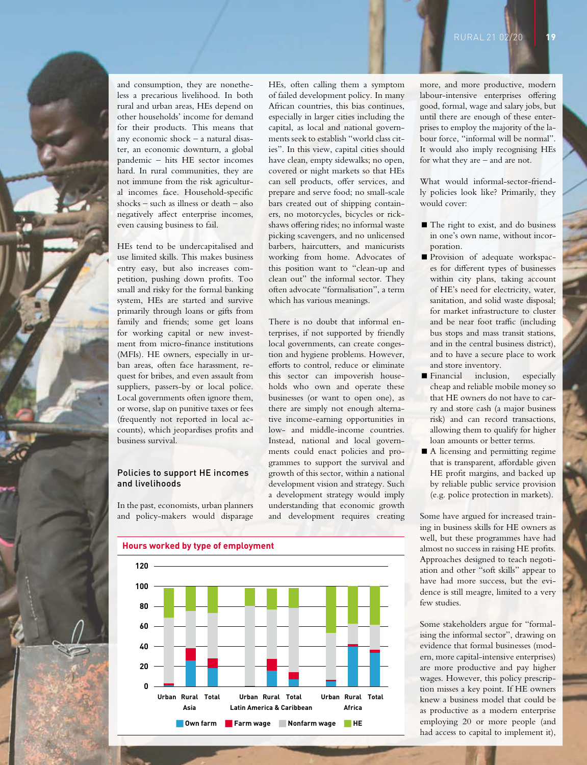

and consumption, they are nonetheless a precarious livelihood. In both rural and urban areas, HEs depend on other households' income for demand for their products. This means that any economic shock – a natural disaster, an economic downturn, a global pandemic – hits HE sector incomes hard. In rural communities, they are not immune from the risk agricultural incomes face. Household-specific shocks – such as illness or death – also negatively affect enterprise incomes, even causing business to fail.

HEs tend to be undercapitalised and use limited skills. This makes business entry easy, but also increases competition, pushing down profits. Too small and risky for the formal banking system, HEs are started and survive primarily through loans or gifts from family and friends; some get loans for working capital or new investment from micro-finance institutions (MFIs). HE owners, especially in urban areas, often face harassment, request for bribes, and even assault from suppliers, passers-by or local police. Local governments often ignore them, or worse, slap on punitive taxes or fees (frequently not reported in local accounts), which jeopardises profits and business survival.

#### Policies to support HE incomes and livelihoods

In the past, economists, urban planners and policy-makers would disparage

HEs, often calling them a symptom of failed development policy. In many African countries, this bias continues, especially in larger cities including the capital, as local and national governments seek to establish "world class cities". In this view, capital cities should have clean, empty sidewalks; no open, covered or night markets so that HEs can sell products, offer services, and prepare and serve food; no small-scale bars created out of shipping containers, no motorcycles, bicycles or rickshaws offering rides; no informal waste picking scavengers, and no unlicensed barbers, haircutters, and manicurists working from home. Advocates of this position want to "clean-up and clean out" the informal sector. They often advocate "formalisation", a term which has various meanings.

There is no doubt that informal enterprises, if not supported by friendly local governments, can create congestion and hygiene problems. However, efforts to control, reduce or eliminate this sector can impoverish households who own and operate these businesses (or want to open one), as there are simply not enough alternative income-earning opportunities in low- and middle-income countries. Instead, national and local governments could enact policies and programmes to support the survival and growth of this sector, within a national development vision and strategy. Such a development strategy would imply understanding that economic growth and development requires creating

**Hours worked by type of employment 120 100 80 60 40 20 0 Own farm Farm wage Nonfarm wage HE Asia Urban Rural Total Latin America & Caribbean Urban Rural Total Africa Urban Rural Total**

more, and more productive, modern labour-intensive enterprises offering good, formal, wage and salary jobs, but until there are enough of these enterprises to employ the majority of the labour force, "informal will be normal". It would also imply recognising HEs for what they are – and are not.

What would informal-sector-friendly policies look like? Primarily, they would cover:

- The right to exist, and do business in one's own name, without incorporation.
- **Provision** of adequate workspaces for different types of businesses within city plans, taking account of HE's need for electricity, water, sanitation, and solid waste disposal; for market infrastructure to cluster and be near foot traffic (including bus stops and mass transit stations, and in the central business district), and to have a secure place to work and store inventory.
- Financial inclusion, especially cheap and reliable mobile money so that HE owners do not have to carry and store cash (a major business risk) and can record transactions, allowing them to qualify for higher loan amounts or better terms.
- A licensing and permitting regime that is transparent, affordable given HE profit margins, and backed up by reliable public service provision (e.g. police protection in markets).

Some have argued for increased training in business skills for HE owners as well, but these programmes have had almost no success in raising HE profits. Approaches designed to teach negotiation and other "soft skills" appear to have had more success, but the evidence is still meagre, limited to a very few studies.

Some stakeholders argue for "formalising the informal sector", drawing on evidence that formal businesses (modern, more capital-intensive enterprises) are more productive and pay higher wages. However, this policy prescription misses a key point. If HE owners knew a business model that could be as productive as a modern enterprise employing 20 or more people (and had access to capital to implement it),